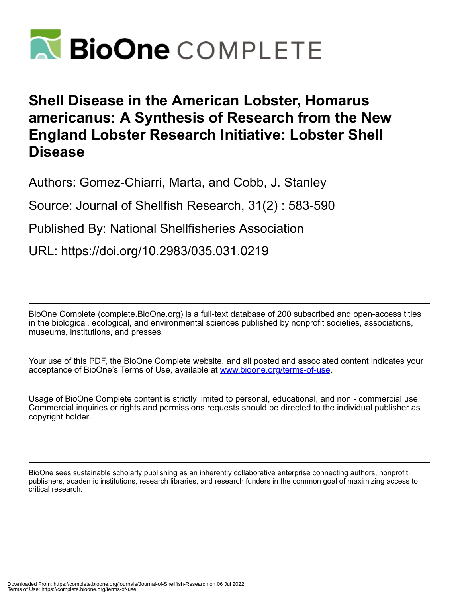

# **Shell Disease in the American Lobster, Homarus americanus: A Synthesis of Research from the New England Lobster Research Initiative: Lobster Shell Disease**

Authors: Gomez-Chiarri, Marta, and Cobb, J. Stanley

Source: Journal of Shellfish Research, 31(2) : 583-590

Published By: National Shellfisheries Association

URL: https://doi.org/10.2983/035.031.0219

BioOne Complete (complete.BioOne.org) is a full-text database of 200 subscribed and open-access titles in the biological, ecological, and environmental sciences published by nonprofit societies, associations, museums, institutions, and presses.

Your use of this PDF, the BioOne Complete website, and all posted and associated content indicates your acceptance of BioOne's Terms of Use, available at www.bioone.org/terms-of-use.

Usage of BioOne Complete content is strictly limited to personal, educational, and non - commercial use. Commercial inquiries or rights and permissions requests should be directed to the individual publisher as copyright holder.

BioOne sees sustainable scholarly publishing as an inherently collaborative enterprise connecting authors, nonprofit publishers, academic institutions, research libraries, and research funders in the common goal of maximizing access to critical research.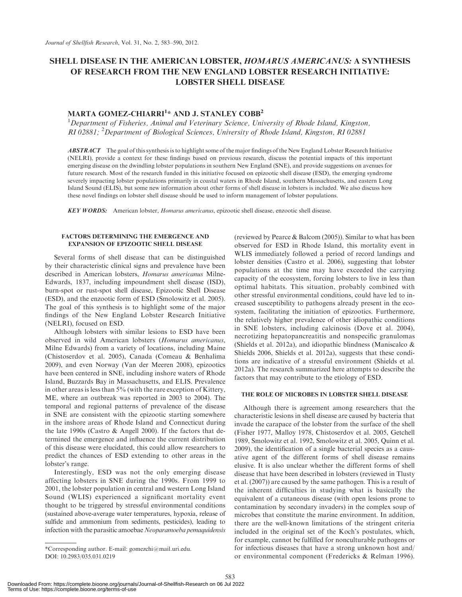# SHELL DISEASE IN THE AMERICAN LOBSTER, HOMARUS AMERICANUS: A SYNTHESIS OF RESEARCH FROM THE NEW ENGLAND LOBSTER RESEARCH INITIATIVE: LOBSTER SHELL DISEASE

# MARTA GOMEZ-CHIARRI<sup>1</sup>\* AND J. STANLEY COBB<sup>2</sup>

<sup>1</sup>Department of Fisheries, Animal and Veterinary Science, University of Rhode Island, Kingston, RI 02881; <sup>2</sup>Department of Biological Sciences, University of Rhode Island, Kingston, RI 02881

**ABSTRACT** The goal of this synthesis is to highlight some of the major findings of the New England Lobster Research Initiative (NELRI), provide a context for these findings based on previous research, discuss the potential impacts of this important emerging disease on the dwindling lobster populations in southern New England (SNE), and provide suggestions on avenues for future research. Most of the research funded in this initiative focused on epizootic shell disease (ESD), the emerging syndrome severely impacting lobster populations primarily in coastal waters in Rhode Island, southern Massachusetts, and eastern Long Island Sound (ELIS), but some new information about other forms of shell disease in lobsters is included. We also discuss how these novel findings on lobster shell disease should be used to inform management of lobster populations.

583

KEY WORDS: American lobster, Homarus americanus, epizootic shell disease, enzootic shell disease.

## FACTORS DETERMINING THE EMERGENCE AND EXPANSION OF EPIZOOTIC SHELL DISEASE

Several forms of shell disease that can be distinguished by their characteristic clinical signs and prevalence have been described in American lobsters, Homarus americanus Milne-Edwards, 1837, including impoundment shell disease (ISD), burn-spot or rust-spot shell disease, Epizootic Shell Disease (ESD), and the enzootic form of ESD (Smolowitz et al. 2005). The goal of this synthesis is to highlight some of the major findings of the New England Lobster Research Initiative (NELRI), focused on ESD.

Although lobsters with similar lesions to ESD have been observed in wild American lobsters (Homarus americanus, Milne Edwards) from a variety of locations, including Maine (Chistoserdov et al. 2005), Canada (Comeau & Benhalima 2009), and even Norway (Van der Meeren 2008), epizootics have been centered in SNE, including inshore waters of Rhode Island, Buzzards Bay in Massachusetts, and ELIS. Prevalence in other areas is less than 5% (with the rare exception of Kittery, ME, where an outbreak was reported in 2003 to 2004). The temporal and regional patterns of prevalence of the disease in SNE are consistent with the epizootic starting somewhere in the inshore areas of Rhode Island and Connecticut during the late 1990s (Castro & Angell 2000). If the factors that determined the emergence and influence the current distribution of this disease were elucidated, this could allow researchers to predict the chances of ESD extending to other areas in the lobster's range.

Interestingly, ESD was not the only emerging disease affecting lobsters in SNE during the 1990s. From 1999 to 2001, the lobster population in central and western Long Island Sound (WLIS) experienced a significant mortality event thought to be triggered by stressful environmental conditions (sustained above-average water temperatures, hypoxia, release of sulfide and ammonium from sediments, pesticides), leading to infection with the parasitic amoebae Neoparamoeba pemaquidensis

(reviewed by Pearce & Balcom (2005)). Similar to what has been observed for ESD in Rhode Island, this mortality event in WLIS immediately followed a period of record landings and lobster densities (Castro et al. 2006), suggesting that lobster populations at the time may have exceeded the carrying capacity of the ecosystem, forcing lobsters to live in less than optimal habitats. This situation, probably combined with other stressful environmental conditions, could have led to increased susceptibility to pathogens already present in the ecosystem, facilitating the initiation of epizootics. Furthermore, the relatively higher prevalence of other idiopathic conditions in SNE lobsters, including calcinosis (Dove et al. 2004), necrotizing hepatopancreatitis and nonspecific granulomas (Shields et al. 2012a), and idiopathic blindness (Maniscalco & Shields 2006, Shields et al. 2012a), suggests that these conditions are indicative of a stressful environment (Shields et al. 2012a). The research summarized here attempts to describe the factors that may contribute to the etiology of ESD.

## THE ROLE OF MICROBES IN LOBSTER SHELL DISEASE

Although there is agreement among researchers that the characteristic lesions in shell disease are caused by bacteria that invade the carapace of the lobster from the surface of the shell (Fisher 1977, Malloy 1978, Chistoserdov et al. 2005, Getchell 1989, Smolowitz et al. 1992, Smolowitz et al. 2005, Quinn et al. 2009), the identification of a single bacterial species as a causative agent of the different forms of shell disease remains elusive. It is also unclear whether the different forms of shell disease that have been described in lobsters (reviewed in Tlusty et al. (2007)) are caused by the same pathogen. This is a result of the inherent difficulties in studying what is basically the equivalent of a cutaneous disease (with open lesions prone to contamination by secondary invaders) in the complex soup of microbes that constitute the marine environment. In addition, there are the well-known limitations of the stringent criteria included in the original set of the Koch's postulates, which, for example, cannot be fulfilled for nonculturable pathogens or for infectious diseases that have a strong unknown host and/ or environmental component (Fredericks & Relman 1996).

<sup>\*</sup>Corresponding author. E-mail: gomezchi@mail.uri.edu. DOI: 10.2983/035.031.0219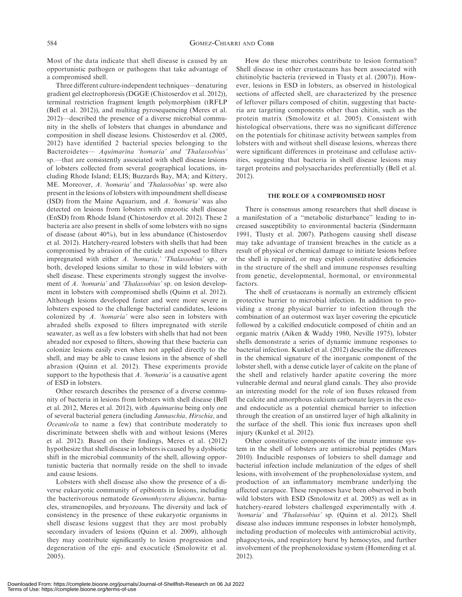Most of the data indicate that shell disease is caused by an opportunistic pathogen or pathogens that take advantage of a compromised shell.

Three different culture-independent techniques—denaturing gradient gel electrophoresis (DGGE (Chistoserdov et al. 2012)), terminal restriction fragment length polymorphism (tRFLP (Bell et al. 2012)), and multitag pyrosequencing (Meres et al. 2012)—described the presence of a diverse microbial community in the shells of lobsters that changes in abundance and composition in shell disease lesions. Chistoserdov et al. (2005, 2012) have identified 2 bacterial species belonging to the Bacteroidetes— Aquimarina 'homaria' and 'Thalassobius' sp.—that are consistently associated with shell disease lesions of lobsters collected from several geographical locations, including Rhode Island; ELIS; Buzzards Bay, MA; and Kittery, ME. Moreover, A. 'homaria' and 'Thalassobius' sp. were also present in the lesions of lobsters with impoundment shell disease (ISD) from the Maine Aquarium, and A. 'homaria' was also detected on lesions from lobsters with enzootic shell disease (EnSD) from Rhode Island (Chistoserdov et al. 2012). These 2 bacteria are also present in shells of some lobsters with no signs of disease (about 40%), but in less abundance (Chistoserdov et al. 2012). Hatchery-reared lobsters with shells that had been compromised by abrasion of the cuticle and exposed to filters impregnated with either A. 'homaria,' 'Thalassobius' sp., or both, developed lesions similar to those in wild lobsters with shell disease. These experiments strongly suggest the involvement of A. 'homaria' and 'Thalassobius' sp. on lesion development in lobsters with compromised shells (Quinn et al. 2012). Although lesions developed faster and were more severe in lobsters exposed to the challenge bacterial candidates, lesions colonized by A. 'homaria' were also seen in lobsters with abraded shells exposed to filters impregnated with sterile seawater, as well as a few lobsters with shells that had not been abraded nor exposed to filters, showing that these bacteria can colonize lesions easily even when not applied directly to the shell, and may be able to cause lesions in the absence of shell abrasion (Quinn et al. 2012). These experiments provide support to the hypothesis that A. 'homaria' is a causative agent of ESD in lobsters.

Other research describes the presence of a diverse community of bacteria in lesions from lobsters with shell disease (Bell et al. 2012, Meres et al. 2012), with Aquimarina being only one of several bacterial genera (including Jannaschia, Hirschia, and Oceanicola to name a few) that contribute moderately to discriminate between shells with and without lesions (Meres et al. 2012). Based on their findings, Meres et al. (2012) hypothesize that shell disease in lobsters is caused by a dysbiotic shift in the microbial community of the shell, allowing opportunistic bacteria that normally reside on the shell to invade and cause lesions.

Lobsters with shell disease also show the presence of a diverse eukaryotic community of epibionts in lesions, including the bacterivorous nematode Geomonhystera disjuncta, barnacles, stramenopiles, and bryozoans. The diversity and lack of consistency in the presence of these eukaryotic organisms in shell disease lesions suggest that they are most probably secondary invaders of lesions (Quinn et al. 2009), although they may contribute significantly to lesion progression and degeneration of the epi- and exocuticle (Smolowitz et al. 2005).

How do these microbes contribute to lesion formation? Shell disease in other crustaceans has been associated with chitinolytic bacteria (reviewed in Tlusty et al. (2007)). However, lesions in ESD in lobsters, as observed in histological sections of affected shell, are characterized by the presence of leftover pillars composed of chitin, suggesting that bacteria are targeting components other than chitin, such as the protein matrix (Smolowitz et al. 2005). Consistent with histological observations, there was no significant difference on the potentials for chitinase activity between samples from lobsters with and without shell disease lesions, whereas there were significant differences in proteinase and cellulase activities, suggesting that bacteria in shell disease lesions may target proteins and polysaccharides preferentially (Bell et al. 2012).

#### THE ROLE OF A COMPROMISED HOST

There is consensus among researchers that shell disease is a manifestation of a ''metabolic disturbance'' leading to increased susceptibility to environmental bacteria (Sindermann 1991, Tlusty et al. 2007). Pathogens causing shell disease may take advantage of transient breaches in the cuticle as a result of physical or chemical damage to initiate lesions before the shell is repaired, or may exploit constitutive deficiencies in the structure of the shell and immune responses resulting from genetic, developmental, hormonal, or environmental factors.

The shell of crustaceans is normally an extremely efficient protective barrier to microbial infection. In addition to providing a strong physical barrier to infection through the combination of an outermost wax layer covering the epicuticle followed by a calcified endocuticle composed of chitin and an organic matrix (Aiken & Waddy 1980, Neville 1975), lobster shells demonstrate a series of dynamic immune responses to bacterial infection. Kunkel et al. (2012) describe the differences in the chemical signature of the inorganic component of the lobster shell, with a dense cuticle layer of calcite on the plane of the shell and relatively harder apatite covering the more vulnerable dermal and neural gland canals. They also provide an interesting model for the role of ion fluxes released from the calcite and amorphous calcium carbonate layers in the exoand endocuticle as a potential chemical barrier to infection through the creation of an unstirred layer of high alkalinity in the surface of the shell. This ionic flux increases upon shell injury (Kunkel et al. 2012).

Other constitutive components of the innate immune system in the shell of lobsters are antimicrobial peptides (Mars 2010). Inducible responses of lobsters to shell damage and bacterial infection include melanization of the edges of shell lesions, with involvement of the prophenoloxidase system, and production of an inflammatory membrane underlying the affected carapace. These responses have been observed in both wild lobsters with ESD (Smolowitz et al. 2005) as well as in hatchery-reared lobsters challenged experimentally with A. 'homaria' and 'Thalassobius' sp. (Quinn et al. 2012). Shell disease also induces immune responses in lobster hemolymph, including production of molecules with antimicrobial activity, phagocytosis, and respiratory burst by hemocytes, and further involvement of the prophenoloxidase system (Homerding et al. 2012).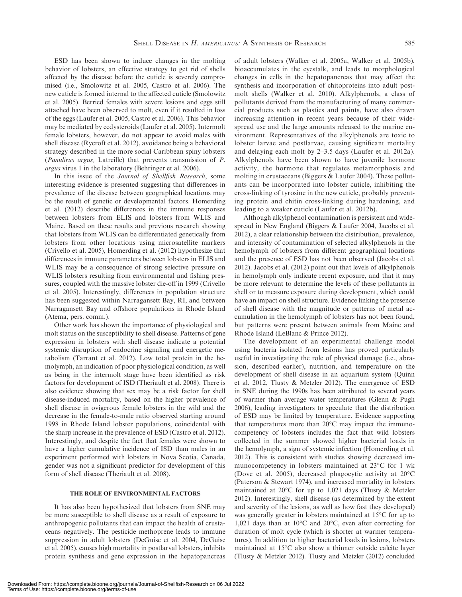ESD has been shown to induce changes in the molting behavior of lobsters, an effective strategy to get rid of shells affected by the disease before the cuticle is severely compromised (i.e., Smolowitz et al. 2005, Castro et al. 2006). The new cuticle is formed internal to the affected cuticle (Smolowitz et al. 2005). Berried females with severe lesions and eggs still attached have been observed to molt, even if it resulted in loss of the eggs (Laufer et al. 2005, Castro et al. 2006). This behavior may be mediated by ecdysteroids (Laufer et al. 2005). Intermolt female lobsters, however, do not appear to avoid males with shell disease (Rycroft et al. 2012), avoidance being a behavioral strategy described in the more social Caribbean spiny lobsters (Panulirus argus, Latreille) that prevents transmission of P. argus virus 1 in the laboratory (Behringer et al. 2006).

In this issue of the Journal of Shellfish Research, some interesting evidence is presented suggesting that differences in prevalence of the disease between geographical locations may be the result of genetic or developmental factors. Homerding et al. (2012) describe differences in the immune responses between lobsters from ELIS and lobsters from WLIS and Maine. Based on these results and previous research showing that lobsters from WLIS can be differentiated genetically from lobsters from other locations using microsatellite markers (Crivello et al. 2005), Homerding et al. (2012) hypothesize that differences in immune parameters between lobsters in ELIS and WLIS may be a consequence of strong selective pressure on WLIS lobsters resulting from environmental and fishing pressures, coupled with the massive lobster die-off in 1999 (Crivello et al. 2005). Interestingly, differences in population structure has been suggested within Narragansett Bay, RI, and between Narragansett Bay and offshore populations in Rhode Island (Atema, pers. comm.).

Other work has shown the importance of physiological and molt status on the susceptibility to shell disease. Patterns of gene expression in lobsters with shell disease indicate a potential systemic disruption of endocrine signaling and energetic metabolism (Tarrant et al. 2012). Low total protein in the hemolymph, an indication of poor physiological condition, as well as being in the intermolt stage have been identified as risk factors for development of ISD (Theriault et al. 2008). There is also evidence showing that sex may be a risk factor for shell disease-induced mortality, based on the higher prevalence of shell disease in ovigerous female lobsters in the wild and the decrease in the female-to-male ratio observed starting around 1998 in Rhode Island lobster populations, coincidental with the sharp increase in the prevalence of ESD (Castro et al. 2012). Interestingly, and despite the fact that females were shown to have a higher cumulative incidence of ISD than males in an experiment performed with lobsters in Nova Scotia, Canada, gender was not a significant predictor for development of this form of shell disease (Theriault et al. 2008).

# THE ROLE OF ENVIRONMENTAL FACTORS

It has also been hypothesized that lobsters from SNE may be more susceptible to shell disease as a result of exposure to anthropogenic pollutants that can impact the health of crustaceans negatively. The pesticide methoprene leads to immune suppression in adult lobsters (DeGuise et al. 2004, DeGuise et al. 2005), causes high mortality in postlarval lobsters, inhibits protein synthesis and gene expression in the hepatopancreas

of adult lobsters (Walker et al. 2005a, Walker et al. 2005b), bioaccumulates in the eyestalk, and leads to morphological changes in cells in the hepatopancreas that may affect the synthesis and incorporation of chitoproteins into adult postmolt shells (Walker et al. 2010). Alkylphenols, a class of pollutants derived from the manufacturing of many commercial products such as plastics and paints, have also drawn increasing attention in recent years because of their widespread use and the large amounts released to the marine environment. Representatives of the alkylphenols are toxic to lobster larvae and postlarvae, causing significant mortality and delaying each molt by 2–3.5 days (Laufer et al. 2012a). Alkylphenols have been shown to have juvenile hormone activity, the hormone that regulates metamorphosis and molting in crustaceans (Biggers & Laufer 2004). These pollutants can be incorporated into lobster cuticle, inhibiting the cross-linking of tyrosine in the new cuticle, probably preventing protein and chitin cross-linking during hardening, and leading to a weaker cuticle (Laufer et al. 2012b).

Although alkylphenol contamination is persistent and widespread in New England (Biggers & Laufer 2004, Jacobs et al. 2012), a clear relationship between the distribution, prevalence, and intensity of contamination of selected alkylphenols in the hemolymph of lobsters from different geographical locations and the presence of ESD has not been observed (Jacobs et al. 2012). Jacobs et al. (2012) point out that levels of alkylphenols in hemolymph only indicate recent exposure, and that it may be more relevant to determine the levels of these pollutants in shell or to measure exposure during development, which could have an impact on shell structure. Evidence linking the presence of shell disease with the magnitude or patterns of metal accumulation in the hemolymph of lobsters has not been found, but patterns were present between animals from Maine and Rhode Island (LeBlanc & Prince 2012).

The development of an experimental challenge model using bacteria isolated from lesions has proved particularly useful in investigating the role of physical damage (i.e., abrasion, described earlier), nutrition, and temperature on the development of shell disease in an aquarium system (Quinn et al. 2012, Tlusty & Metzler 2012). The emergence of ESD in SNE during the 1990s has been attributed to several years of warmer than average water temperatures (Glenn & Pugh 2006), leading investigators to speculate that the distribution of ESD may be limited by temperature. Evidence supporting that temperatures more than  $20^{\circ}$ C may impact the immunocompetency of lobsters includes the fact that wild lobsters collected in the summer showed higher bacterial loads in the hemolymph, a sign of systemic infection (Homerding et al. 2012). This is consistent with studies showing decreased immunocompetency in lobsters maintained at 23°C for 1 wk (Dove et al. 2005), decreased phagocytic activity at  $20^{\circ}$ C (Paterson & Stewart 1974), and increased mortality in lobsters maintained at 20 $\rm ^{o}C$  for up to 1,021 days (Tlusty & Metzler 2012). Interestingly, shell disease (as determined by the extent and severity of the lesions, as well as how fast they developed) was generally greater in lobsters maintained at 15°C for up to 1,021 days than at 10 $^{\circ}$ C and 20 $^{\circ}$ C, even after correcting for duration of molt cycle (which is shorter at warmer temperatures). In addition to higher bacterial loads in lesions, lobsters maintained at 15°C also show a thinner outside calcite layer (Tlusty & Metzler 2012). Tlusty and Metzler (2012) concluded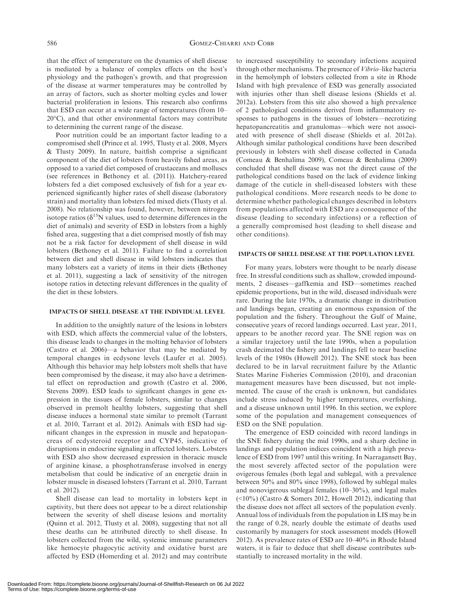that the effect of temperature on the dynamics of shell disease is mediated by a balance of complex effects on the host's physiology and the pathogen's growth, and that progression of the disease at warmer temperatures may be controlled by an array of factors, such as shorter molting cycles and lower bacterial proliferation in lesions. This research also confirms that ESD can occur at a wide range of temperatures (from 10– 20°C), and that other environmental factors may contribute to determining the current range of the disease.

Poor nutrition could be an important factor leading to a compromised shell (Prince et al. 1995, Tlusty et al. 2008, Myers & Tlusty 2009). In nature, baitfish comprise a significant component of the diet of lobsters from heavily fished areas, as opposed to a varied diet composed of crustaceans and molluscs (see references in Bethoney et al. (2011)). Hatchery-reared lobsters fed a diet composed exclusively of fish for a year experienced significantly higher rates of shell disease (laboratory strain) and mortality than lobsters fed mixed diets (Tlusty et al. 2008). No relationship was found, however, between nitrogen isotope ratios ( $\delta^{15}$ N values, used to determine differences in the diet of animals) and severity of ESD in lobsters from a highly fished area, suggesting that a diet comprised mostly of fish may not be a risk factor for development of shell disease in wild lobsters (Bethoney et al. 2011). Failure to find a correlation between diet and shell disease in wild lobsters indicates that many lobsters eat a variety of items in their diets (Bethoney et al. 2011), suggesting a lack of sensitivity of the nitrogen isotope ratios in detecting relevant differences in the quality of the diet in these lobsters.

# IMPACTS OF SHELL DISEASE AT THE INDIVIDUAL LEVEL

In addition to the unsightly nature of the lesions in lobsters with ESD, which affects the commercial value of the lobsters, this disease leads to changes in the molting behavior of lobsters (Castro et al. 2006)—a behavior that may be mediated by temporal changes in ecdysone levels (Laufer et al. 2005). Although this behavior may help lobsters molt shells that have been compromised by the disease, it may also have a detrimental effect on reproduction and growth (Castro et al. 2006, Stevens 2009). ESD leads to significant changes in gene expression in the tissues of female lobsters, similar to changes observed in premolt healthy lobsters, suggesting that shell disease induces a hormonal state similar to premolt (Tarrant et al. 2010, Tarrant et al. 2012). Animals with ESD had significant changes in the expression in muscle and hepatopancreas of ecdysteroid receptor and CYP45, indicative of disruptions in endocrine signaling in affected lobsters. Lobsters with ESD also show decreased expression in thoracic muscle of arginine kinase, a phosphotransferase involved in energy metabolism that could be indicative of an energetic drain in lobster muscle in diseased lobsters (Tarrant et al. 2010, Tarrant et al. 2012).

Shell disease can lead to mortality in lobsters kept in captivity, but there does not appear to be a direct relationship between the severity of shell disease lesions and mortality (Quinn et al. 2012, Tlusty et al. 2008), suggesting that not all these deaths can be attributed directly to shell disease. In lobsters collected from the wild, systemic immune parameters like hemocyte phagocytic activity and oxidative burst are affected by ESD (Homerding et al. 2012) and may contribute to increased susceptibility to secondary infections acquired through other mechanisms. The presence of Vibrio–like bacteria in the hemolymph of lobsters collected from a site in Rhode Island with high prevalence of ESD was generally associated with injuries other than shell disease lesions (Shields et al. 2012a). Lobsters from this site also showed a high prevalence of 2 pathological conditions derived from inflammatory responses to pathogens in the tissues of lobsters—necrotizing hepatopancreatitis and granulomas—which were not associated with presence of shell disease (Shields et al. 2012a). Although similar pathological conditions have been described previously in lobsters with shell disease collected in Canada (Comeau & Benhalima 2009), Comeau & Benhalima (2009) concluded that shell disease was not the direct cause of the pathological conditions based on the lack of evidence linking damage of the cuticle in shell-diseased lobsters with these pathological conditions. More research needs to be done to determine whether pathological changes described in lobsters from populations affected with ESD are a consequence of the disease (leading to secondary infections) or a reflection of a generally compromised host (leading to shell disease and other conditions).

#### IMPACTS OF SHELL DISEASE AT THE POPULATION LEVEL

For many years, lobsters were thought to be nearly disease free. In stressful conditions such as shallow, crowded impoundments, 2 diseases—gaffkemia and ISD—sometimes reached epidemic proportions, but in the wild, diseased individuals were rare. During the late 1970s, a dramatic change in distribution and landings began, creating an enormous expansion of the population and the fishery. Throughout the Gulf of Maine, consecutive years of record landings occurred. Last year, 2011, appears to be another record year. The SNE region was on a similar trajectory until the late 1990s, when a population crash decimated the fishery and landings fell to near baseline levels of the 1980s (Howell 2012). The SNE stock has been declared to be in larval recruitment failure by the Atlantic States Marine Fisheries Commission (2010), and draconian management measures have been discussed, but not implemented. The cause of the crash is unknown, but candidates include stress induced by higher temperatures, overfishing, and a disease unknown until 1996. In this section, we explore some of the population and management consequences of ESD on the SNE population.

The emergence of ESD coincided with record landings in the SNE fishery during the mid 1990s, and a sharp decline in landings and population indices coincident with a high prevalence of ESD from 1997 until this writing. In Narragansett Bay, the most severely affected sector of the population were ovigerous females (both legal and sublegal, with a prevalence between 50% and 80% since 1998), followed by sublegal males and nonovigerous sublegal females (10–30%), and legal males  $(\leq 10\%)$  (Castro & Somers 2012, Howell 2012), indicating that the disease does not affect all sectors of the population evenly. Annual loss of individuals from the population in LIS may be in the range of 0.28, nearly double the estimate of deaths used customarily by managers for stock assessment models (Howell 2012). As prevalence rates of ESD are 10–40% in Rhode Island waters, it is fair to deduce that shell disease contributes substantially to increased mortality in the wild.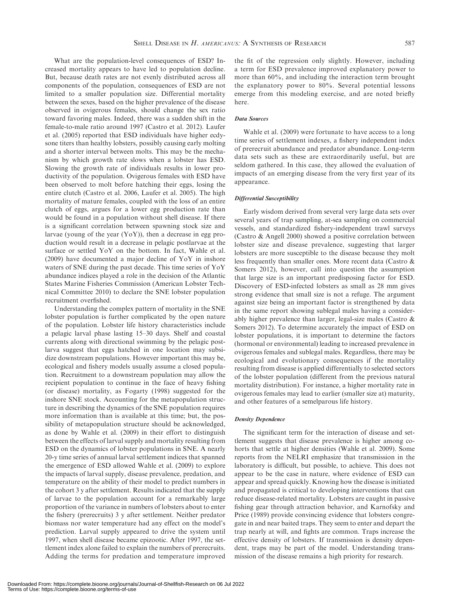What are the population-level consequences of ESD? Increased mortality appears to have led to population decline. But, because death rates are not evenly distributed across all components of the population, consequences of ESD are not limited to a smaller population size. Differential mortality between the sexes, based on the higher prevalence of the disease observed in ovigerous females, should change the sex ratio toward favoring males. Indeed, there was a sudden shift in the female-to-male ratio around 1997 (Castro et al. 2012). Laufer et al. (2005) reported that ESD individuals have higher ecdysone titers than healthy lobsters, possibly causing early molting and a shorter interval between molts. This may be the mechanism by which growth rate slows when a lobster has ESD. Slowing the growth rate of individuals results in lower productivity of the population. Ovigerous females with ESD have been observed to molt before hatching their eggs, losing the entire clutch (Castro et al. 2006, Laufer et al. 2005). The high mortality of mature females, coupled with the loss of an entire clutch of eggs, argues for a lower egg production rate than would be found in a population without shell disease. If there is a significant correlation between spawning stock size and larvae (young of the year (YoY)), then a decrease in egg production would result in a decrease in pelagic postlarvae at the surface or settled YoY on the bottom. In fact, Wahle et al. (2009) have documented a major decline of YoY in inshore waters of SNE during the past decade. This time series of YoY abundance indices played a role in the decision of the Atlantic States Marine Fisheries Commission (American Lobster Technical Committee 2010) to declare the SNE lobster population recruitment overfished.

Understanding the complex pattern of mortality in the SNE lobster population is further complicated by the open nature of the population. Lobster life history characteristics include a pelagic larval phase lasting 15–30 days. Shelf and coastal currents along with directional swimming by the pelagic postlarva suggest that eggs hatched in one location may subsidize downstream populations. However important this may be, ecological and fishery models usually assume a closed population. Recruitment to a downstream population may allow the recipient population to continue in the face of heavy fishing (or disease) mortality, as Fogarty (1998) suggested for the inshore SNE stock. Accounting for the metapopulation structure in describing the dynamics of the SNE population requires more information than is available at this time; but, the possibility of metapopulation structure should be acknowledged, as done by Wahle et al. (2009) in their effort to distinguish between the effects of larval supply and mortality resulting from ESD on the dynamics of lobster populations in SNE. A nearly 20-y time series of annual larval settlement indices that spanned the emergence of ESD allowed Wahle et al. (2009) to explore the impacts of larval supply, disease prevalence, predation, and temperature on the ability of their model to predict numbers in the cohort 3 y after settlement. Results indicated that the supply of larvae to the population account for a remarkably large proportion of the variance in numbers of lobsters about to enter the fishery (prerecruits) 3 y after settlement. Neither predator biomass nor water temperature had any effect on the model's prediction. Larval supply appeared to drive the system until 1997, when shell disease became epizootic. After 1997, the settlement index alone failed to explain the numbers of prerecruits. Adding the terms for predation and temperature improved

the fit of the regression only slightly. However, including a term for ESD prevalence improved explanatory power to more than 60%, and including the interaction term brought the explanatory power to 80%. Several potential lessons emerge from this modeling exercise, and are noted briefly here.

# Data Sources

Wahle et al. (2009) were fortunate to have access to a long time series of settlement indexes, a fishery independent index of prerecruit abundance and predator abundance. Long-term data sets such as these are extraordinarily useful, but are seldom gathered. In this case, they allowed the evaluation of impacts of an emerging disease from the very first year of its appearance.

#### Differential Susceptibility

Early wisdom derived from several very large data sets over several years of trap sampling, at-sea sampling on commercial vessels, and standardized fishery-independent trawl surveys (Castro & Angell 2000) showed a positive correlation between lobster size and disease prevalence, suggesting that larger lobsters are more susceptible to the disease because they molt less frequently than smaller ones. More recent data (Castro & Somers 2012), however, call into question the assumption that large size is an important predisposing factor for ESD. Discovery of ESD-infected lobsters as small as 28 mm gives strong evidence that small size is not a refuge. The argument against size being an important factor is strengthened by data in the same report showing sublegal males having a considerably higher prevalence than larger, legal-size males (Castro & Somers 2012). To determine accurately the impact of ESD on lobster populations, it is important to determine the factors (hormonal or environmental) leading to increased prevalence in ovigerous females and sublegal males. Regardless, there may be ecological and evolutionary consequences if the mortality resulting from disease is applied differentially to selected sectors of the lobster population (different from the previous natural mortality distribution). For instance, a higher mortality rate in ovigerous females may lead to earlier (smaller size at) maturity, and other features of a semelparous life history.

#### Density Dependence

The significant term for the interaction of disease and settlement suggests that disease prevalence is higher among cohorts that settle at higher densities (Wahle et al. 2009). Some reports from the NELRI emphasize that transmission in the laboratory is difficult, but possible, to achieve. This does not appear to be the case in nature, where evidence of ESD can appear and spread quickly. Knowing how the disease is initiated and propagated is critical to developing interventions that can reduce disease-related mortality. Lobsters are caught in passive fishing gear through attraction behavior, and Karnofsky and Price (1989) provide convincing evidence that lobsters congregate in and near baited traps. They seem to enter and depart the trap nearly at will, and fights are common. Traps increase the effective density of lobsters. If transmission is density dependent, traps may be part of the model. Understanding transmission of the disease remains a high priority for research.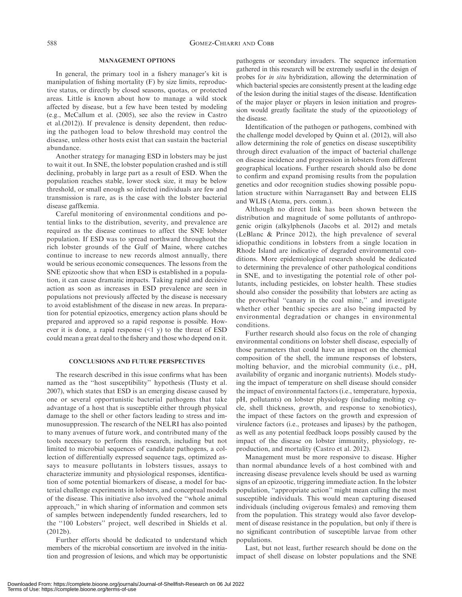#### MANAGEMENT OPTIONS

In general, the primary tool in a fishery manager's kit is manipulation of fishing mortality (F) by size limits, reproductive status, or directly by closed seasons, quotas, or protected areas. Little is known about how to manage a wild stock affected by disease, but a few have been tested by modeling (e.g., McCallum et al. (2005), see also the review in Castro et al.(2012)). If prevalence is density dependent, then reducing the pathogen load to below threshold may control the disease, unless other hosts exist that can sustain the bacterial abundance.

Another strategy for managing ESD in lobsters may be just to wait it out. In SNE, the lobster population crashed and is still declining, probably in large part as a result of ESD. When the population reaches stable, lower stock size, it may be below threshold, or small enough so infected individuals are few and transmission is rare, as is the case with the lobster bacterial disease gaffkemia.

Careful monitoring of environmental conditions and potential links to the distribution, severity, and prevalence are required as the disease continues to affect the SNE lobster population. If ESD was to spread northward throughout the rich lobster grounds of the Gulf of Maine, where catches continue to increase to new records almost annually, there would be serious economic consequences. The lessons from the SNE epizootic show that when ESD is established in a population, it can cause dramatic impacts. Taking rapid and decisive action as soon as increases in ESD prevalence are seen in populations not previously affected by the disease is necessary to avoid establishment of the disease in new areas. In preparation for potential epizootics, emergency action plans should be prepared and approved so a rapid response is possible. However it is done, a rapid response  $(1 \text{ y})$  to the threat of ESD could mean a great deal to the fishery and those who depend on it.

### CONCLUSIONS AND FUTURE PERSPECTIVES

The research described in this issue confirms what has been named as the ''host susceptibility'' hypothesis (Tlusty et al. 2007), which states that ESD is an emerging disease caused by one or several opportunistic bacterial pathogens that take advantage of a host that is susceptible either through physical damage to the shell or other factors leading to stress and immunosuppression. The research of the NELRI has also pointed to many avenues of future work, and contributed many of the tools necessary to perform this research, including but not limited to microbial sequences of candidate pathogens, a collection of differentially expressed sequence tags, optimized assays to measure pollutants in lobsters tissues, assays to characterize immunity and physiological responses, identification of some potential biomarkers of disease, a model for bacterial challenge experiments in lobsters, and conceptual models of the disease. This initiative also involved the ''whole animal approach,'' in which sharing of information and common sets of samples between independently funded researchers, led to the ''100 Lobsters'' project, well described in Shields et al. (2012b).

Further efforts should be dedicated to understand which members of the microbial consortium are involved in the initiation and progression of lesions, and which may be opportunistic pathogens or secondary invaders. The sequence information gathered in this research will be extremely useful in the design of probes for in situ hybridization, allowing the determination of which bacterial species are consistently present at the leading edge of the lesion during the initial stages of the disease. Identification of the major player or players in lesion initiation and progression would greatly facilitate the study of the epizootiology of the disease.

Identification of the pathogen or pathogens, combined with the challenge model developed by Quinn et al. (2012), will also allow determining the role of genetics on disease susceptibility through direct evaluation of the impact of bacterial challenge on disease incidence and progression in lobsters from different geographical locations. Further research should also be done to confirm and expand promising results from the population genetics and odor recognition studies showing possible population structure within Narragansett Bay and between ELIS and WLIS (Atema, pers. comm.).

Although no direct link has been shown between the distribution and magnitude of some pollutants of anthropogenic origin (alkylphenols (Jacobs et al. 2012) and metals (LeBlanc & Prince 2012), the high prevalence of several idiopathic conditions in lobsters from a single location in Rhode Island are indicative of degraded environmental conditions. More epidemiological research should be dedicated to determining the prevalence of other pathological conditions in SNE, and to investigating the potential role of other pollutants, including pesticides, on lobster health. These studies should also consider the possibility that lobsters are acting as the proverbial ''canary in the coal mine,'' and investigate whether other benthic species are also being impacted by environmental degradation or changes in environmental conditions.

Further research should also focus on the role of changing environmental conditions on lobster shell disease, especially of those parameters that could have an impact on the chemical composition of the shell, the immune responses of lobsters, molting behavior, and the microbial community (i.e., pH, availability of organic and inorganic nutrients). Models studying the impact of temperature on shell disease should consider the impact of environmental factors (i.e., temperature, hypoxia, pH, pollutants) on lobster physiology (including molting cycle, shell thickness, growth, and response to xenobiotics), the impact of these factors on the growth and expression of virulence factors (i.e., proteases and lipases) by the pathogen, as well as any potential feedback loops possibly caused by the impact of the disease on lobster immunity, physiology, reproduction, and mortality (Castro et al. 2012).

Management must be more responsive to disease. Higher than normal abundance levels of a host combined with and increasing disease prevalence levels should be used as warning signs of an epizootic, triggering immediate action. In the lobster population, ''appropriate action'' might mean culling the most susceptible individuals. This would mean capturing diseased individuals (including ovigerous females) and removing them from the population. This strategy would also favor development of disease resistance in the population, but only if there is no significant contribution of susceptible larvae from other populations.

Last, but not least, further research should be done on the impact of shell disease on lobster populations and the SNE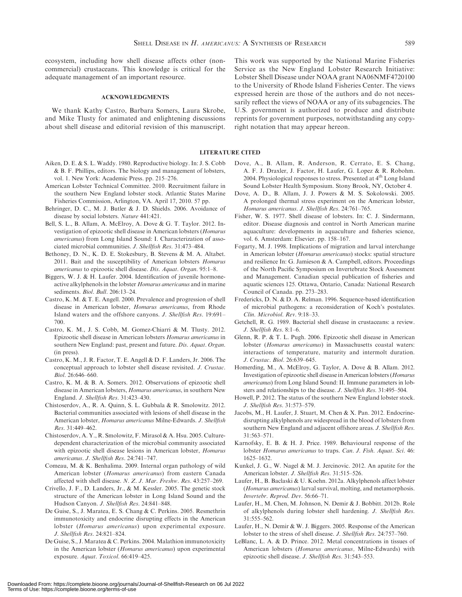ecosystem, including how shell disease affects other (noncommercial) crustaceans. This knowledge is critical for the adequate management of an important resource.

#### ACKNOWLEDGMENTS

We thank Kathy Castro, Barbara Somers, Laura Skrobe, and Mike Tlusty for animated and enlightening discussions about shell disease and editorial revision of this manuscript.

- Aiken, D. E. & S. L. Waddy. 1980. Reproductive biology. In: J. S. Cobb & B. F. Phillips, editors. The biology and management of lobsters, vol. 1. New York: Academic Press. pp. 215–276.
- American Lobster Technical Committee. 2010. Recruitment failure in the southern New England lobster stock. Atlantic States Marine Fisheries Commission, Arlington, VA. April 17, 2010. 57 pp.
- Behringer, D. C., M. J. Butler & J. D. Shields. 2006. Avoidance of disease by social lobsters. Nature 441:421.
- Bell, S. L., B. Allam, A. McElroy, A. Dove & G. T. Taylor. 2012. Investigation of epizootic shell disease in American lobsters (Homarus americanus) from Long Island Sound: I. Characterization of associated microbial communities. J. Shellfish Res. 31:473–484.
- Bethoney, D. N., K. D. E. Stokesbury, B. Stevens & M. A. Altabet. 2011. Bait and the susceptibility of American lobsters Homarus americanus to epizootic shell disease. Dis. Aquat. Organ. 95:1–8.
- Biggers, W. J. & H. Laufer. 2004. Identification of juvenile hormoneactive alkylphenols in the lobster Homarus americanus and in marine sediments. Biol. Bull. 206:13–24.
- Castro, K. M. & T. E. Angell. 2000. Prevalence and progression of shell disease in American lobster, Homarus americanus, from Rhode Island waters and the offshore canyons. J. Shellfish Res. 19:691– 700.
- Castro, K. M., J. S. Cobb, M. Gomez-Chiarri & M. Tlusty. 2012. Epizootic shell disease in American lobsters Homarus americanus in southern New England: past, present and future. Dis. Aquat. Organ. (in press).
- Castro, K. M., J. R. Factor, T. E. Angell & D. F. Landers, Jr. 2006. The conceptual approach to lobster shell disease revisited. J. Crustac. Biol. 26:646–660.
- Castro, K. M. & B. A. Somers. 2012. Observations of epizootic shell disease in American lobsters, Homarus americanus, in southern New England. J. Shellfish Res. 31:423–430.
- Chistoserdov, A., R. A. Quinn, S. L. Gubbala & R. Smolowitz. 2012. Bacterial communities associated with lesions of shell disease in the American lobster, Homarus americanus Milne-Edwards. J. Shellfish Res. 31:449–462.
- Chistoserdov, A. Y., R. Smolowitz, F. Mirasol & A. Hsu. 2005. Culturedependent characterization of the microbial community associated with epizootic shell disease lesions in American lobster, Homarus americanus. J. Shellfish Res. 24:741–747.
- Comeau, M. & K. Benhalima. 2009. Internal organ pathology of wild American lobster (Homarus americanus) from eastern Canada affected with shell disease. N. Z. J. Mar. Freshw. Res. 43:257–269.
- Crivello, J. F., D. Landers, Jr., & M. Kessler. 2005. The genetic stock structure of the American lobster in Long Island Sound and the Hudson Canyon. J. Shellfish Res. 24:841–848.
- De Guise, S., J. Maratea, E. S. Chang & C. Perkins. 2005. Resmethrin immunotoxicity and endocrine disrupting effects in the American lobster (Homarus americanus) upon experimental exposure. J. Shellfish Res. 24:821–824.
- De Guise, S., J. Maratea & C. Perkins. 2004. Malathion immunotoxicity in the American lobster (Homarus americanus) upon experimental exposure. Aquat. Toxicol. 66:419–425.

This work was supported by the National Marine Fisheries Service as the New England Lobster Research Initiative: Lobster Shell Disease under NOAA grant NA06NMF4720100 to the University of Rhode Island Fisheries Center. The views expressed herein are those of the authors and do not necessarily reflect the views of NOAA or any of its subagencies. The U.S. government is authorized to produce and distribute reprints for government purposes, notwithstanding any copyright notation that may appear hereon.

LITERATURE CITED

- Dove, A., B. Allam, R. Anderson, R. Cerrato, E. S. Chang, A. F. J. Draxler, J. Factor, H. Laufer, G. Lopez & R. Robohm. 2004. Physiological responses to stress. Presented at 4<sup>th</sup> Long Island Sound Lobster Health Symposium. Stony Brook, NY, October 4.
- Dove, A. D., B. Allam, J. J. Powers & M. S. Sokolowski. 2005. A prolonged thermal stress experiment on the American lobster, Homarus americanus. J. Shellfish Res. 24:761–765.
- Fisher, W. S. 1977. Shell disease of lobsters. In: C. J. Sindermann, editor. Disease diagnosis and control in North American marine aquaculture: developments in aquaculture and fisheries science, vol. 6. Amsterdam: Elsevier. pp. 158–167.
- Fogarty, M. J. 1998. Implications of migration and larval interchange in American lobster (Homarus americanus) stocks: spatial structure and resilience In: G. Jamieson & A. Campbell, editors. Proceedings of the North Pacific Symposium on Invertebrate Stock Assessment and Management. Canadian special publication of fisheries and aquatic sciences 125. Ottawa, Ontario, Canada: National Research Council of Canada. pp. 273–283.
- Fredericks, D. N. & D. A. Relman. 1996. Sequence-based identification of microbial pathogens: a reconsideration of Koch's postulates. Clin. Microbiol. Rev. 9:18–33.
- Getchell, R. G. 1989. Bacterial shell disease in crustaceans: a review. J. Shellfish Res. 8:1–6.
- Glenn, R. P. & T. L. Pugh. 2006. Epizootic shell disease in American lobster (Homarus americanus) in Massachusetts coastal waters: interactions of temperature, maturity and intermolt duration. J. Crustac. Biol. 26:639–645.
- Homerding, M., A. McElroy, G. Taylor, A. Dove & B. Allam. 2012. Investigation of epizootic shell disease in American lobsters (Homarus americanus) from Long Island Sound: II. Immune parameters in lobsters and relationships to the disease. J. Shellfish Res. 31:495–504.
- Howell, P. 2012. The status of the southern New England lobster stock. J. Shellfish Res. 31:573–579.
- Jacobs, M., H. Laufer, J. Stuart, M. Chen & X. Pan. 2012. Endocrinedisrupting alkylphenols are widespread in the blood of lobsters from southern New England and adjacent offshore areas. J. Shellfish Res. 31:563–571.
- Karnofsky, E. B. & H. J. Price. 1989. Behavioural response of the lobster Homarus americanus to traps. Can. J. Fish. Aquat. Sci. 46: 1625–1632.
- Kunkel, J. G., W. Nagel & M. J. Jercinovic. 2012. An apatite for the American lobster. J. Shellfish Res. 31:515–526.
- Laufer, H., B. Baclaski & U. Koehn. 2012a. Alkylphenols affect lobster (Homarus americanus) larval survival, molting, and metamorphosis. Invertebr. Reprod. Dev. 56:66–71.
- Laufer, H., M. Chen, M. Johnson, N. Demir & J. Bobbitt. 2012b. Role of alkylphenols during lobster shell hardening. J. Shellfish Res. 31:555–562.
- Laufer, H., N. Demir & W. J. Biggers. 2005. Response of the American lobster to the stress of shell disease. J. Shellfish Res. 24:757–760.
- LeBlanc, L. A. & D. Prince. 2012. Metal concentrations in tissues of American lobsters (Homarus americanus, Milne-Edwards) with epizootic shell disease. J. Shellfish Res. 31:543–553.